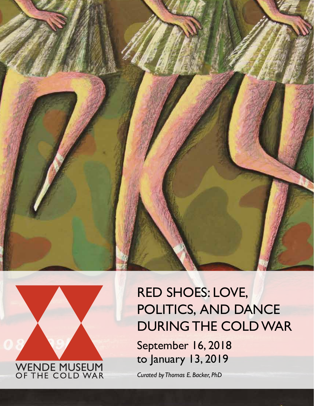



# RED SHOES: LOVE, POLITICS, AND DANCE DURING THE COLD WAR

September 16, 2018 to January 13, 2019

*Curated by Thomas E. Backer, PhD*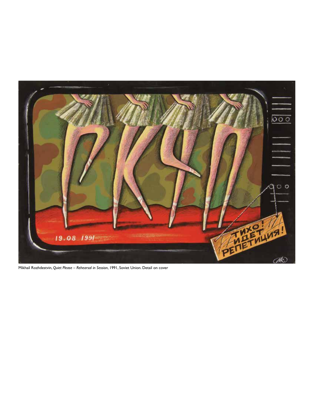

Mikhail Rozhdestvin, *Quiet Please – Rehearsal in Session*, 1991, Soviet Union. Detail on cover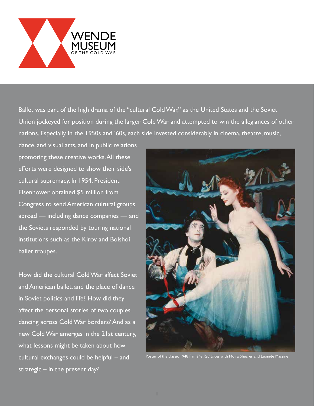

Ballet was part of the high drama of the "cultural Cold War," as the United States and the Soviet Union jockeyed for position during the larger Cold War and attempted to win the allegiances of other nations. Especially in the 1950s and '60s, each side invested considerably in cinema, theatre, music,

dance, and visual arts, and in public relations promoting these creative works. All these efforts were designed to show their side's cultural supremacy. In 1954, President Eisenhower obtained \$5 million from Congress to send American cultural groups abroad — including dance companies — and the Soviets responded by touring national institutions such as the Kirov and Bolshoi ballet troupes.

How did the cultural Cold War affect Soviet and American ballet, and the place of dance in Soviet politics and life? How did they affect the personal stories of two couples dancing across Cold War borders? And as a new Cold War emerges in the 21st century, what lessons might be taken about how cultural exchanges could be helpful – and strategic  $-$  in the present day?



Poster of the classic 1948 film *The Red Shoes* with Moira Shearer and Leonide Massine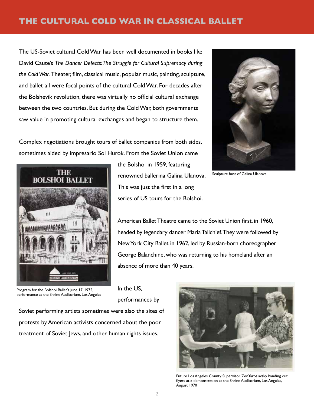## **THE CULTURAL COLD WAR IN CLASSICAL BALLET**

The US-Soviet cultural Cold War has been well documented in books like David Caute's *The Dancer Defects: The Struggle for Cultural Supremacy during the Cold War.* Theater, film, classical music, popular music, painting, sculpture, and ballet all were focal points of the cultural Cold War. For decades after the Bolshevik revolution, there was virtually no official cultural exchange between the two countries. But during the Cold War, both governments saw value in promoting cultural exchanges and began to structure them.



Sculpture bust of Galina Ulanova

Complex negotiations brought tours of ballet companies from both sides, sometimes aided by impresario Sol Hurok. From the Soviet Union came



the Bolshoi in 1959, featuring renowned ballerina Galina Ulanova. This was just the first in a long series of US tours for the Bolshoi.

American Ballet Theatre came to the Soviet Union first, in 1960, headed by legendary dancer Maria Tallchief. They were followed by New York City Ballet in 1962, led by Russian-born choreographer George Balanchine, who was returning to his homeland after an absence of more than 40 years.

Program for the Bolshoi Ballet's June 17, 1975, performance at the Shrine Auditorium, Los Angeles

In the US, performances by

Soviet performing artists sometimes were also the sites of protests by American activists concerned about the poor treatment of Soviet Jews, and other human rights issues.



Future Los Angeles County Supervisor Zev Yaroslavsky handing out flyers at a demonstration at the Shrine Auditorium, Los Angeles, August 1970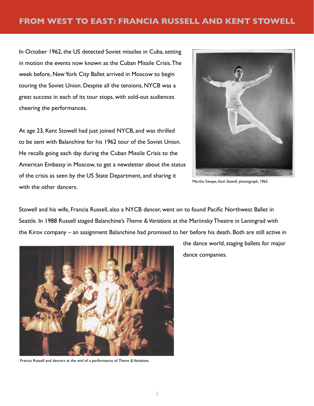In October 1962, the US detected Soviet missiles in Cuba, setting in motion the events now known as the Cuban Missile Crisis. The week before, New York City Ballet arrived in Moscow to begin touring the Soviet Union. Despite all the tensions, NYCB was a great success in each of its tour stops, with sold-out audiences cheering the performances.

At age 23, Kent Stowell had just joined NYCB, and was thrilled to be sent with Balanchine for his 1962 tour of the Soviet Union. He recalls going each day during the Cuban Missile Crisis to the American Embassy in Moscow, to get a newsletter about the status of the crisis as seen by the US State Department, and sharing it with the other dancers.



Martha Swope, *Kent Stowell,* photograph, 1962

Stowell and his wife, Francia Russell, also a NYCB dancer, went on to found Pacific Northwest Ballet in Seattle. In 1988 Russell staged Balanchine's *Theme & Variations* at the Mariinsky Theatre in Leningrad with the Kirov company – an assignment Balanchine had promised to her before his death. Both are still active in



Francia Russell and dancers at the end of a performance of *Theme & Variations*

the dance world, staging ballets for major dance companies.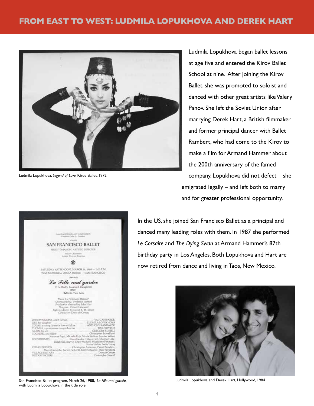

Ludmila Lopukhova, *Legend of Love,* Kirov Ballet, 1972

Ludmila Lopukhova began ballet lessons at age five and entered the Kirov Ballet School at nine. After joining the Kirov Ballet, she was promoted to soloist and danced with other great artists like Valery Panov. She left the Soviet Union after marrying Derek Hart, a British filmmaker and former principal dancer with Ballet Rambert, who had come to the Kirov to make a film for Armand Hammer about the 200th anniversary of the famed company. Lopukhova did not defect – she emigrated legally – and left both to marry and for greater professional opportunity.

In the US, she joined San Francisco Ballet as a principal and danced many leading roles with them. In 1987 she performed *Le Corsaire* and *The Dying Swan* at Armand Hammer's 87th birthday party in Los Angeles. Both Lopukhova and Hart are now retired from dance and living in Taos, New Mexico.



Ludmila Lopukhova and Derek Hart, Hollywood, 1984

| SATURDAY AFTERNOON, MARCH 26, 1986 - 2:00 P.M.<br>WAR MEMORIAL OPERA HOUSE -- SAN FRANCISCO                                                                                                                                                                                                                                                                                                                                                                                                  |                            |
|----------------------------------------------------------------------------------------------------------------------------------------------------------------------------------------------------------------------------------------------------------------------------------------------------------------------------------------------------------------------------------------------------------------------------------------------------------------------------------------------|----------------------------|
| (Rectical)                                                                                                                                                                                                                                                                                                                                                                                                                                                                                   |                            |
| La Fille mal gardée<br>(The Badly Guarded Daughter)<br>(1960)<br>Ballet in Two Acts<br>Music by Ferdinand Herold*<br>Choreography: Frederick Ashton<br>Production directed by John Hart<br>Designer: Osbert Lancaster<br>Lighting design by David K. H. Elliott<br>Consluctor: Denis de Coteau                                                                                                                                                                                               |                            |
| WIDOW SIMONE, a rich farmer. VAL CANIFAROLE<br>ALAIN his sen Commission CRECORY RUSSELL<br>Christopher Stowell and<br><b>COCKEREL and HENS</b><br>Jeannene Fogel, Michelle Roja, Nicole Walton, Jennifer Wilson.<br>Eileen Gerdes, Tittany Heft, Shannon Lilly.<br><b>LISE'S FIGHINDS</b><br>Elizabeth Loscavio, Grace Maduell, Mazdalene Parungan,<br>Marco Carrabba, Batton Parker II. Keith Scheaffer, Marc Sprading<br>VILLAGENOTARY Duncan Cooper<br>NOTARY'S CLERK Christopher Stowell | Katita Waldo, Leslie Young |

INVIRANCISCO INJUIT AINOCIATION **SAN FRANCISCO BALLET** HILGI TOMASSON, ARTISTIC DIRECTOR Willam Christeners<br>tietit Dienter, Emeri

San Francisco Ballet program, March 26, 1988, *La Fille mal gardée,*  with Ludmila Lopukhova in the title role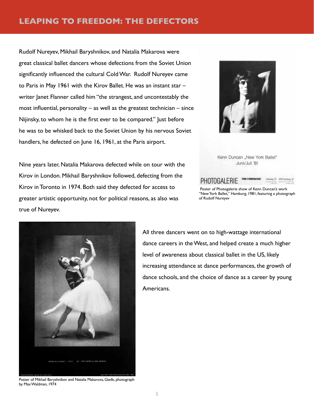## **LEAPING TO FREEDOM: THE DEFECTORS**

Rudolf Nureyev, Mikhail Baryshnikov, and Natalia Makarova were great classical ballet dancers whose defections from the Soviet Union significantly influenced the cultural Cold War. Rudolf Nureyev came to Paris in May 1961 with the Kirov Ballet. He was an instant star – writer Janet Flanner called him "the strangest, and uncontestably the most influential, personality  $-$  as well as the greatest technician  $-$  since Nijinsky, to whom he is the first ever to be compared." Just before he was to be whisked back to the Soviet Union by his nervous Soviet handlers, he defected on June 16, 1961, at the Paris airport.

Nine years later, Natalia Makarova defected while on tour with the Kirov in London. Mikhail Baryshnikov followed, defecting from the Kirov in Toronto in 1974. Both said they defected for access to greater artistic opportunity, not for political reasons, as also was true of Nureyev.



Kenn Duncan "New York Ballet" Juni/Juli '81

#### THE COMPAGNIE PHOTOGALERIE





All three dancers went on to high-wattage international dance careers in the West, and helped create a much higher level of awareness about classical ballet in the US, likely increasing attendance at dance performances, the growth of dance schools, and the choice of dance as a career by young Americans.

by Max Waldman, 1974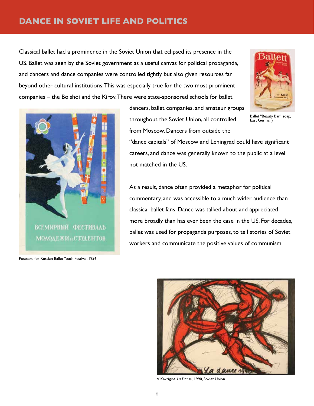## **DANCE IN SOVIET LIFE AND POLITICS**

Classical ballet had a prominence in the Soviet Union that eclipsed its presence in the US. Ballet was seen by the Soviet government as a useful canvas for political propaganda, and dancers and dance companies were controlled tightly but also given resources far beyond other cultural institutions. This was especially true for the two most prominent companies – the Bolshoi and the Kirov. There were state-sponsored schools for ballet



Ballet "Beauty Bar" soap, East Germany



Postcard for Russian Ballet Youth Festival, 1956

dancers, ballet companies, and amateur groups throughout the Soviet Union, all controlled from Moscow. Dancers from outside the

"dance capitals" of Moscow and Leningrad could have significant careers, and dance was generally known to the public at a level not matched in the US.

As a result, dance often provided a metaphor for political commentary, and was accessible to a much wider audience than classical ballet fans. Dance was talked about and appreciated more broadly than has ever been the case in the US. For decades, ballet was used for propaganda purposes, to tell stories of Soviet workers and communicate the positive values of communism.



V. Kavrigina, *La Danse,* 1990, Soviet Union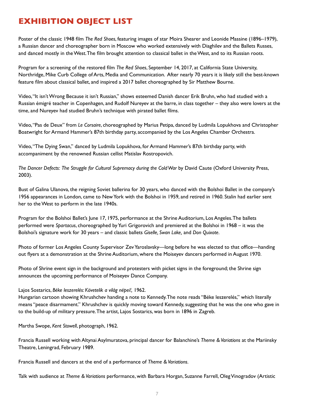## **EXHIBITION OBJECT LIST**

Poster of the classic 1948 film *The Red Shoes*, featuring images of star Moira Shearer and Leonide Massine (1896–1979), a Russian dancer and choreographer born in Moscow who worked extensively with Diaghilev and the Ballets Russes, and danced mostly in the West. The film brought attention to classical ballet in the West, and to its Russian roots.

Program for a screening of the restored film *The Red Shoes*, September 14, 2017, at California State University, Northridge, Mike Curb College of Arts, Media and Communication. After nearly 70 years it is likely still the best-known feature film about classical ballet, and inspired a 2017 ballet choreographed by Sir Matthew Bourne.

Video, "It isn't Wrong Because it isn't Russian," shows esteemed Danish dancer Erik Bruhn, who had studied with a Russian émigré teacher in Copenhagen, and Rudolf Nureyev at the barre, in class together – they also were lovers at the time, and Nureyev had studied Bruhn's technique with pirated ballet films.

Video, "Pas de Deux" from *Le Corsaire*, choreographed by Marius Petipa, danced by Ludmila Lopukhova and Christopher Boatwright for Armand Hammer's 87th birthday party, accompanied by the Los Angeles Chamber Orchestra.

Video, "The Dying Swan," danced by Ludmila Lopukhova, for Armand Hammer's 87th birthday party, with accompaniment by the renowned Russian cellist Mstislav Rostropovich.

*The Dancer Defects: The Struggle for Cultural Supremacy during the Cold War* by David Caute (Oxford University Press, 2003).

Bust of Galina Ulanova, the reigning Soviet ballerina for 30 years, who danced with the Bolshoi Ballet in the company's 1956 appearances in London, came to New York with the Bolshoi in 1959, and retired in 1960. Stalin had earlier sent her to the West to perform in the late 1940s.

Program for the Bolshoi Ballet's June 17, 1975, performance at the Shrine Auditorium, Los Angeles. The ballets performed were *Spartacus*, choreographed by Yuri Grigorovich and premiered at the Bolshoi in 1968 – it was the Bolshoi's signature work for 30 years – and classic ballets *Giselle, Swan Lake,* and *Don Quixote.* 

Photo of former Los Angeles County Supervisor Zev Yaroslavsky—long before he was elected to that office—handing out flyers at a demonstration at the Shrine Auditorium, where the Moiseyev dancers performed in August 1970.

Photo of Shrine event sign in the background and protesters with picket signs in the foreground; the Shrine sign announces the upcoming performance of Moiseyev Dance Company.

#### Lajos Sostarics, *Béke leszerelés: Követelik a világ népei!,* 1962.

Hungarian cartoon showing Khrushchev handing a note to Kennedy. The note reads "Béke leszerelés," which literally means "peace disarmament." Khrushchev is quickly moving toward Kennedy, suggesting that he was the one who gave in to the build-up of military pressure. The artist, Lajos Sostarics, was born in 1896 in Zagreb.

Martha Swope, *Kent Stowell*, photograph, 1962.

Francia Russell working with Altynai Asylmuratova, principal dancer for Balanchine's *Theme & Variations* at the Mariinsky Theatre, Leningrad, February 1989.

Francia Russell and dancers at the end of a performance of *Theme & Variations*.

Talk with audience at *Theme & Variations* performance, with Barbara Horgan, Suzanne Farrell, Oleg Vinogradov (Artistic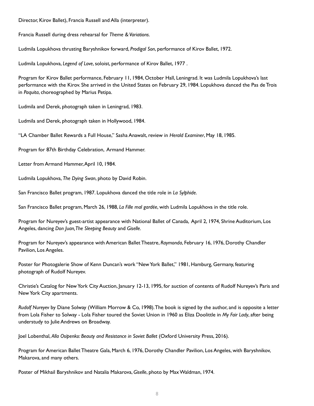Director, Kirov Ballet), Francia Russell and Alla (interpreter).

Francia Russell during dress rehearsal for *Theme & Variations*.

Ludmila Lopukhova thrusting Baryshnikov forward, *Prodigal Son*, performance of Kirov Ballet, 1972.

Ludmila Lopukhova, *Legend of Love*, soloist, performance of Kirov Ballet, 1977 .

Program for Kirov Ballet performance, February 11, 1984, October Hall, Leningrad. It was Ludmila Lopukhova's last performance with the Kirov. She arrived in the United States on February 29, 1984. Lopukhova danced the Pas de Trois in *Paquita*, choreographed by Marius Petipa.

Ludmila and Derek, photograph taken in Leningrad, 1983.

Ludmila and Derek, photograph taken in Hollywood, 1984.

"LA Chamber Ballet Rewards a Full House," Sasha Anawalt, review in *Herald Examiner*, May 18, 1985.

Program for 87th Birthday Celebration, Armand Hammer.

Letter from Armand Hammer, April 10, 1984.

Ludmila Lopukhova, *The Dying Swan*, photo by David Robin.

San Francisco Ballet program, 1987. Lopukhova danced the title role in *La Sylphide*.

San Francisco Ballet program, March 26, 1988, *La Fille mal gardée*, with Ludmila Lopukhova in the title role.

Program for Nureyev's guest-artist appearance with National Ballet of Canada, April 2, 1974, Shrine Auditorium, Los Angeles, dancing *Don Juan, The Sleeping Beauty* and *Giselle.*

Program for Nureyev's appearance with American Ballet Theatre, *Raymonda*, February 16, 1976, Dorothy Chandler Pavilion, Los Angeles.

Poster for Photogalerie Show of Kenn Duncan's work "New York Ballet," 1981, Hamburg, Germany, featuring photograph of Rudolf Nureyev.

Christie's Catalog for New York City Auction, January 12-13, 1995, for auction of contents of Rudolf Nureyev's Paris and New York City apartments.

*Rudolf Nureyev* by Diane Solway (William Morrow & Co, 1998). The book is signed by the author, and is opposite a letter from Lola Fisher to Solway - Lola Fisher toured the Soviet Union in 1960 as Eliza Doolittle in *My Fair Lady*, after being understudy to Julie Andrews on Broadway.

Joel Lobenthal, *Alla Osipenko: Beauty and Resistance in Soviet Ballet (Oxford University Press, 2016).* 

Program for American Ballet Theatre Gala, March 6, 1976, Dorothy Chandler Pavilion, Los Angeles, with Baryshnikov, Makarova, and many others.

Poster of Mikhail Baryshnikov and Natalia Makarova, *Giselle*, photo by Max Waldman, 1974.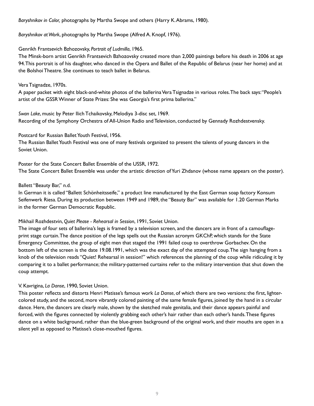*Baryshnikov in Color,* photographs by Martha Swope and others (Harry K. Abrams, 1980).

*Baryshnikov at Work*, photographs by Martha Swope (Alfred A. Knopf, 1976).

#### Genrikh Frantsevich Bzhozovsky, *Portrait of Ludmilla*, 1965.

The Minsk-born artist Genrikh Frantsevich Bzhozovsky created more than 2,000 paintings before his death in 2006 at age 94. This portrait is of his daughter, who danced in the Opera and Ballet of the Republic of Belarus (near her home) and at the Bolshoi Theatre. She continues to teach ballet in Belarus.

#### Vera Tsignadze, 1970s.

A paper packet with eight black-and-white photos of the ballerina Vera Tsignadze in various roles. The back says: "People's artist of the GSSR Winner of State Prizes: She was Georgia's first prima ballerina."

*Swan Lake*, music by Peter Ilich Tchaikovsky, Melodiya 3-disc set, 1969. Recording of the Symphony Orchestra of All-Union Radio and Television, conducted by Gennady Rozhdestvensky.

### Postcard for Russian Ballet Youth Festival, 1956.

The Russian Ballet Youth Festival was one of many festivals organized to present the talents of young dancers in the Soviet Union.

Poster for the State Concert Ballet Ensemble of the USSR, 1972. The State Concert Ballet Ensemble was under the artistic direction of Yuri Zhdanov (whose name appears on the poster).

#### Ballett "Beauty Bar," n.d.

In German it is called "Ballett Schönheitsseife," a product line manufactured by the East German soap factory Konsum Seifenwerk Riesa. During its production between 1949 and 1989, the "Beauty Bar" was available for 1.20 German Marks in the former German Democratic Republic.

#### Mikhail Rozhdestvin, *Quiet Please - Rehearsal in Session*, 1991, Soviet Union.

The image of four sets of ballerina's legs is framed by a television screen, and the dancers are in front of a camouflageprint stage curtain. The dance position of the legs spells out the Russian acronym GKChP, which stands for the State Emergency Committee, the group of eight men that staged the 1991 failed coup to overthrow Gorbachev. On the bottom left of the screen is the date 19.08.1991, which was the exact day of the attempted coup. The sign hanging from a knob of the television reads "Quiet! Rehearsal in session!" which references the planning of the coup while ridiculing it by comparing it to a ballet performance; the military-patterned curtains refer to the military intervention that shut down the coup attempt.

#### V. Kavrigina, *La Danse*, 1990, Soviet Union.

This poster reflects and distorts Henri Matisse's famous work *La Danse*, of which there are two versions: the first, lightercolored study, and the second, more vibrantly colored painting of the same female figures, joined by the hand in a circular dance. Here, the dancers are clearly male, shown by the sketched male genitalia, and their dance appears painful and forced, with the figures connected by violently grabbing each other's hair rather than each other's hands. These figures dance on a white background, rather than the blue-green background of the original work, and their mouths are open in a silent yell as opposed to Matisse's close-mouthed figures.